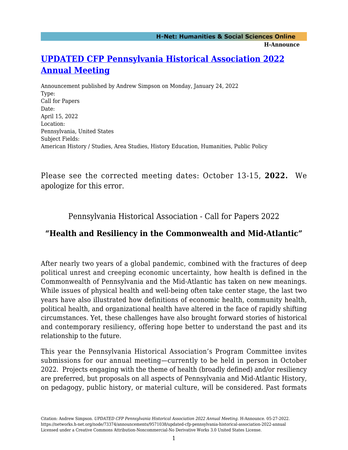## **[UPDATED CFP Pennsylvania Historical Association 2022](https://networks.h-net.org/node/73374/announcements/9571038/updated-cfp-pennsylvania-historical-association-2022-annual) [Annual Meeting](https://networks.h-net.org/node/73374/announcements/9571038/updated-cfp-pennsylvania-historical-association-2022-annual)**

Announcement published by Andrew Simpson on Monday, January 24, 2022 Type: Call for Papers Date: April 15, 2022 Location: Pennsylvania, United States Subject Fields: American History / Studies, Area Studies, History Education, Humanities, Public Policy

Please see the corrected meeting dates: October 13-15, **2022.** We apologize for this error.

Pennsylvania Historical Association - Call for Papers 2022

## **"Health and Resiliency in the Commonwealth and Mid-Atlantic"**

After nearly two years of a global pandemic, combined with the fractures of deep political unrest and creeping economic uncertainty, how health is defined in the Commonwealth of Pennsylvania and the Mid-Atlantic has taken on new meanings. While issues of physical health and well-being often take center stage, the last two years have also illustrated how definitions of economic health, community health, political health, and organizational health have altered in the face of rapidly shifting circumstances. Yet, these challenges have also brought forward stories of historical and contemporary resiliency, offering hope better to understand the past and its relationship to the future.

This year the Pennsylvania Historical Association's Program Committee invites submissions for our annual meeting—currently to be held in person in October 2022. Projects engaging with the theme of health (broadly defined) and/or resiliency are preferred, but proposals on all aspects of Pennsylvania and Mid-Atlantic History, on pedagogy, public history, or material culture, will be considered. Past formats

Citation: Andrew Simpson. *UPDATED CFP Pennsylvania Historical Association 2022 Annual Meeting*. H-Announce. 05-27-2022. https://networks.h-net.org/node/73374/announcements/9571038/updated-cfp-pennsylvania-historical-association-2022-annual Licensed under a Creative Commons Attribution-Noncommercial-No Derivative Works 3.0 United States License.